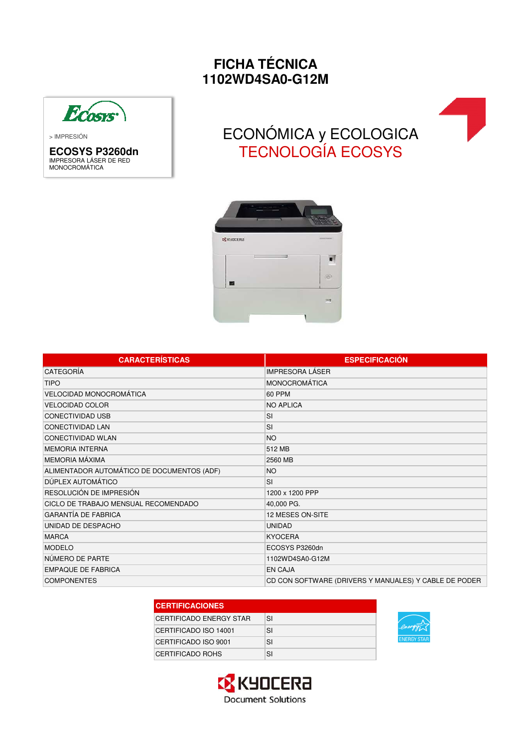## **FICHA TÉCNICA 1102WD4SA0-G12M**



> IMPRESIÓN

**ECOSYS P3260dn** IMPRESORA LÁSER DE RED MONOCROMÁTICA

## ECONÓMICA y ECOLOGICA TECNOLOGÍA ECOSYS



| <b>CARACTERÍSTICAS</b>                     | <b>ESPECIFICACIÓN</b>                                 |
|--------------------------------------------|-------------------------------------------------------|
| CATEGORÍA                                  | <b>IMPRESORA LÁSER</b>                                |
| <b>TIPO</b>                                | <b>MONOCROMÁTICA</b>                                  |
| VELOCIDAD MONOCROMÁTICA                    | 60 PPM                                                |
| <b>VELOCIDAD COLOR</b>                     | <b>NO APLICA</b>                                      |
| <b>CONECTIVIDAD USB</b>                    | <b>SI</b>                                             |
| <b>CONECTIVIDAD LAN</b>                    | <b>SI</b>                                             |
| <b>CONECTIVIDAD WLAN</b>                   | <b>NO</b>                                             |
| <b>MEMORIA INTERNA</b>                     | 512 MB                                                |
| <b>MEMORIA MÁXIMA</b>                      | 2560 MB                                               |
| ALIMENTADOR AUTOMÁTICO DE DOCUMENTOS (ADF) | <b>NO</b>                                             |
| DÚPLEX AUTOMÁTICO                          | <b>SI</b>                                             |
| RESOLUCIÓN DE IMPRESIÓN                    | 1200 x 1200 PPP                                       |
| CICLO DE TRABAJO MENSUAL RECOMENDADO       | 40,000 PG.                                            |
| <b>GARANTÍA DE FABRICA</b>                 | 12 MESES ON-SITE                                      |
| UNIDAD DE DESPACHO                         | <b>UNIDAD</b>                                         |
| <b>MARCA</b>                               | <b>KYOCERA</b>                                        |
| <b>MODELO</b>                              | ECOSYS P3260dn                                        |
| NÚMERO DE PARTE                            | 1102WD4SA0-G12M                                       |
| <b>EMPAQUE DE FABRICA</b>                  | <b>EN CAJA</b>                                        |
| <b>COMPONENTES</b>                         | CD CON SOFTWARE (DRIVERS Y MANUALES) Y CABLE DE PODER |

| <b>CERTIFICACIONES</b>  |    |  |
|-------------------------|----|--|
| CERTIFICADO ENERGY STAR | SI |  |
| CERTIFICADO ISO 14001   | SI |  |
| CERTIFICADO ISO 9001    | SI |  |
| CERTIFICADO ROHS        | SI |  |